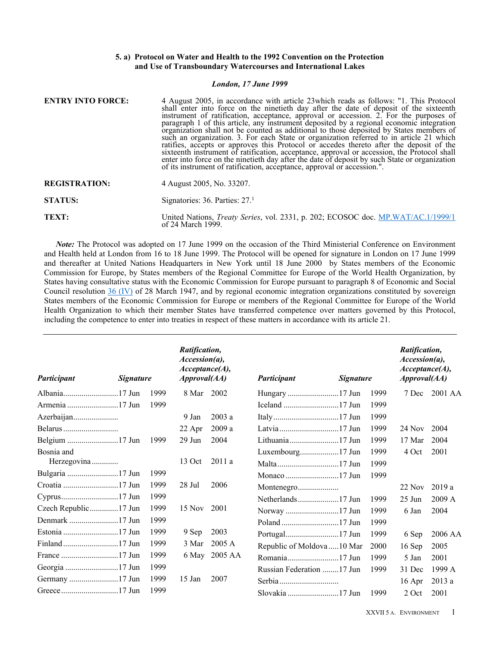## **5. a) Protocol on Water and Health to the 1992 Convention on the Protection and Use of Transboundary Watercourses and International Lakes**

#### *London, 17 June 1999*

| <b>ENTRY INTO FORCE:</b> | 4 August 2005, in accordance with article 23 which reads as follows: "1. This Protocol<br>shall enter into force on the ninetieth day after the date of deposit of the sixteenth<br>instrument of ratification, acceptance, approval or accession. 2. For the purposes of<br>paragraph 1 of this article, any instrument deposited by a regional economic integration<br>organization shall not be counted as additional to those deposited by States members of<br>such an organization. 3. For each State or organization referred to in article 21 which<br>ratifies, accepts or approves this Protocol or accedes thereto after the deposit of the<br>sixteenth instrument of ratification, acceptance, approval or accession, the Protocol shall<br>enter into force on the ninetieth day after the date of deposit by such State or organization<br>of its instrument of ratification, acceptance, approval or accession.". |
|--------------------------|-----------------------------------------------------------------------------------------------------------------------------------------------------------------------------------------------------------------------------------------------------------------------------------------------------------------------------------------------------------------------------------------------------------------------------------------------------------------------------------------------------------------------------------------------------------------------------------------------------------------------------------------------------------------------------------------------------------------------------------------------------------------------------------------------------------------------------------------------------------------------------------------------------------------------------------|
| <b>REGISTRATION:</b>     | 4 August 2005, No. 33207.                                                                                                                                                                                                                                                                                                                                                                                                                                                                                                                                                                                                                                                                                                                                                                                                                                                                                                         |
| <b>STATUS:</b>           | Signatories: $36$ . Parties: $271$                                                                                                                                                                                                                                                                                                                                                                                                                                                                                                                                                                                                                                                                                                                                                                                                                                                                                                |
| TEXT:                    | United Nations, <i>Treaty Series</i> , vol. 2331, p. 202; ECOSOC doc. MP.WAT/AC.1/1999/1<br>of 24 March 1999.                                                                                                                                                                                                                                                                                                                                                                                                                                                                                                                                                                                                                                                                                                                                                                                                                     |

*Note:* The Protocol was adopted on 17 June 1999 on the occasion of the Third Ministerial Conference on Environment and Health held at London from 16 to 18 June 1999. The Protocol will be opened for signature in London on 17 June 1999 and thereafter at United Nations Headquarters in New York until 18 June 2000 by States members of the Economic Commission for Europe, by States members of the Regional Committee for Europe of the World Health Organization, by States having consultative status with the Economic Commission for Europe pursuant to paragraph 8 of Economic and Social Council resolution 36 [\(IV\)](https://treaties.un.org//doc/source/docs/E_RES_36_IV-E.pdf) of 28 March 1947, and by regional economic integration organizations constituted by sovereign States members of the Economic Commission for Europe or members of the Regional Committee for Europe of the World Health Organization to which their member States have transferred competence over matters governed by this Protocol, including the competence to enter into treaties in respect of these matters in accordance with its article 21.

| Participant<br><b>Signature</b> |  | Ratification,<br>$\textit{Accession}(a)$ ,<br>Acceptance(A),<br>$A$ <i>pproval</i> $(AA)$ |          | Participant<br><i>Signature</i> |                             |  |      | <i>Ratification,</i><br>$\textit{Accession}(a)$ ,<br>Acceptance(A),<br>$A$ <i>pproval</i> $(AA)$ |         |
|---------------------------------|--|-------------------------------------------------------------------------------------------|----------|---------------------------------|-----------------------------|--|------|--------------------------------------------------------------------------------------------------|---------|
|                                 |  | 1999                                                                                      | 8 Mar    | 2002                            |                             |  | 1999 | 7 Dec                                                                                            | 2001 AA |
|                                 |  | 1999                                                                                      |          |                                 |                             |  | 1999 |                                                                                                  |         |
|                                 |  |                                                                                           | 9 Jan    | 2003a                           |                             |  | 1999 |                                                                                                  |         |
|                                 |  |                                                                                           | 22 Apr   | 2009 a                          |                             |  | 1999 | 24 Nov                                                                                           | 2004    |
|                                 |  | 1999                                                                                      | $29$ Jun | 2004                            | Lithuania17 Jun             |  | 1999 | 17 Mar                                                                                           | 2004    |
| Bosnia and                      |  |                                                                                           |          |                                 |                             |  | 1999 | 4 Oct                                                                                            | 2001    |
| Herzegovina                     |  |                                                                                           | 13 Oct   | 2011a                           |                             |  | 1999 |                                                                                                  |         |
|                                 |  | 1999                                                                                      |          |                                 |                             |  | 1999 |                                                                                                  |         |
|                                 |  | 1999                                                                                      | 28 Jul   | 2006                            | Montenegro                  |  |      | 22 Nov                                                                                           | 2019a   |
|                                 |  | 1999                                                                                      |          |                                 |                             |  | 1999 | $25 \text{ Jun}$                                                                                 | 2009A   |
|                                 |  | 1999                                                                                      | 15 Nov   | 2001                            |                             |  | 1999 | 6 Jan                                                                                            | 2004    |
|                                 |  | 1999                                                                                      |          |                                 |                             |  | 1999 |                                                                                                  |         |
|                                 |  | 1999                                                                                      | 9 Sep    | 2003                            |                             |  | 1999 | 6 Sep                                                                                            | 2006 AA |
|                                 |  | 1999                                                                                      | 3 Mar    | 2005 A                          | Republic of Moldova  10 Mar |  | 2000 | 16 Sep                                                                                           | 2005    |
|                                 |  | 1999                                                                                      | 6 May    | 2005 AA                         |                             |  | 1999 | 5 Jan                                                                                            | 2001    |
|                                 |  | 1999                                                                                      |          |                                 | Russian Federation 17 Jun   |  | 1999 | 31 Dec                                                                                           | 1999 A  |
|                                 |  | 1999                                                                                      | 15 Jan   | 2007                            | Serbia $\ldots$             |  |      | 16 Apr                                                                                           | 2013a   |
|                                 |  | 1999                                                                                      |          |                                 |                             |  | 1999 | 2 Oct                                                                                            | 2001    |